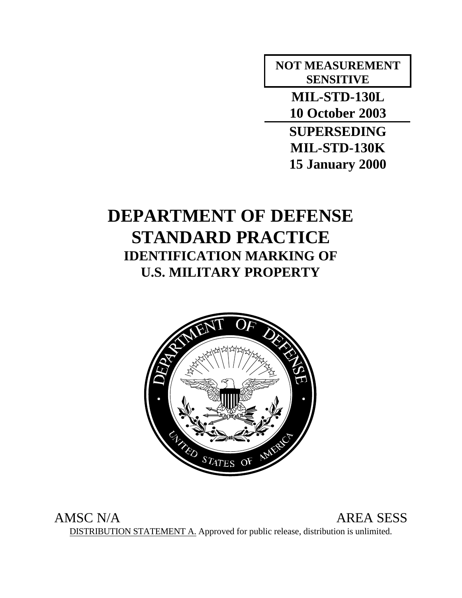# **NOT MEASUREMENT SENSITIVE**

**MIL-STD-130L 10 October 2003**

**SUPERSEDING MIL-STD-130K 15 January 2000**

# **DEPARTMENT OF DEFENSE STANDARD PRACTICE IDENTIFICATION MARKING OF U.S. MILITARY PROPERTY**



AMSC N/A AREA SESS DISTRIBUTION STATEMENT A. Approved for public release, distribution is unlimited.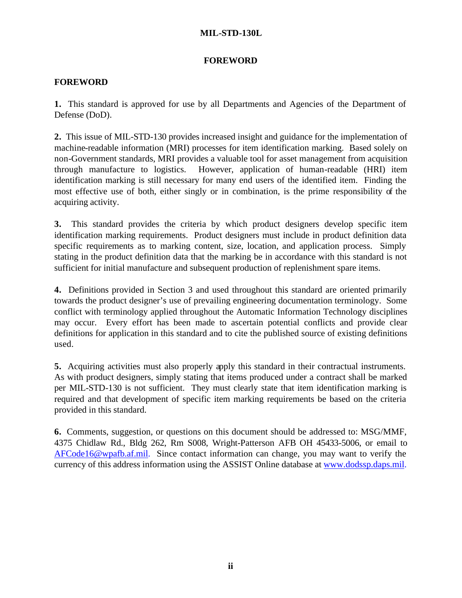# **FOREWORD**

# **FOREWORD**

**1.** This standard is approved for use by all Departments and Agencies of the Department of Defense (DoD).

**2.** This issue of MIL-STD-130 provides increased insight and guidance for the implementation of machine-readable information (MRI) processes for item identification marking. Based solely on non-Government standards, MRI provides a valuable tool for asset management from acquisition through manufacture to logistics. However, application of human-readable (HRI) item identification marking is still necessary for many end users of the identified item. Finding the most effective use of both, either singly or in combination, is the prime responsibility of the acquiring activity.

**3.** This standard provides the criteria by which product designers develop specific item identification marking requirements. Product designers must include in product definition data specific requirements as to marking content, size, location, and application process. Simply stating in the product definition data that the marking be in accordance with this standard is not sufficient for initial manufacture and subsequent production of replenishment spare items.

**4.** Definitions provided in Section 3 and used throughout this standard are oriented primarily towards the product designer's use of prevailing engineering documentation terminology. Some conflict with terminology applied throughout the Automatic Information Technology disciplines may occur. Every effort has been made to ascertain potential conflicts and provide clear definitions for application in this standard and to cite the published source of existing definitions used.

**5.** Acquiring activities must also properly apply this standard in their contractual instruments. As with product designers, simply stating that items produced under a contract shall be marked per MIL-STD-130 is not sufficient. They must clearly state that item identification marking is required and that development of specific item marking requirements be based on the criteria provided in this standard.

**6.** Comments, suggestion, or questions on this document should be addressed to: MSG/MMF, 4375 Chidlaw Rd., Bldg 262, Rm S008, Wright-Patterson AFB OH 45433-5006, or email to AFCode16@wpafb.af.mil. Since contact information can change, you may want to verify the currency of this address information using the ASSIST Online database at www.dodssp.daps.mil.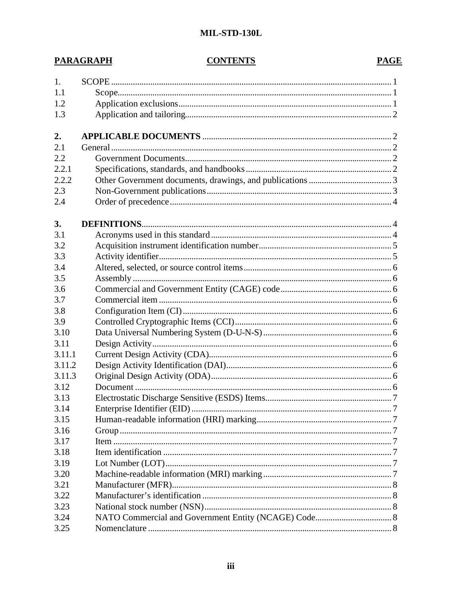# **CONTENTS**

**PARAGRAPH** 

# **PAGE**

| 1.     |  |
|--------|--|
| 1.1    |  |
| 1.2    |  |
| 1.3    |  |
|        |  |
| 2.     |  |
| 2.1    |  |
| 2.2    |  |
| 2.2.1  |  |
| 2.2.2  |  |
| 2.3    |  |
| 2.4    |  |
| 3.     |  |
| 3.1    |  |
| 3.2    |  |
| 3.3    |  |
| 3.4    |  |
| 3.5    |  |
| 3.6    |  |
| 3.7    |  |
| 3.8    |  |
| 3.9    |  |
| 3.10   |  |
| 3.11   |  |
| 3.11.1 |  |
| 3.11.2 |  |
| 3.11.3 |  |
| 3.12   |  |
| 3.13   |  |
| 3.14   |  |
| 3.15   |  |
| 3.16   |  |
| 3.17   |  |
| 3.18   |  |
| 3.19   |  |
| 3.20   |  |
| 3.21   |  |
| 3.22   |  |
| 3.23   |  |
| 3.24   |  |
| 3.25   |  |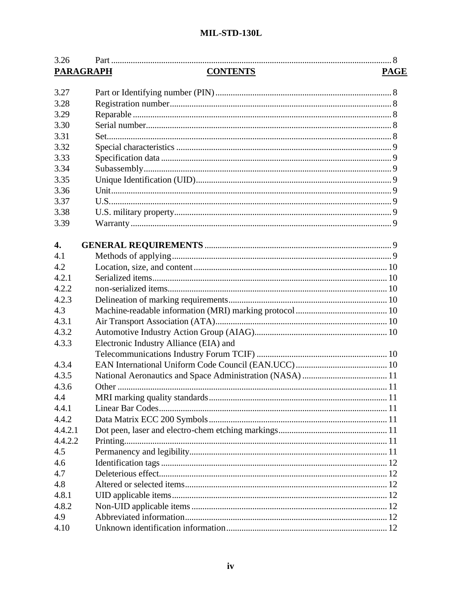| 3.26             |                                        |
|------------------|----------------------------------------|
| <b>PARAGRAPH</b> | <b>CONTENTS</b><br><b>PAGE</b>         |
|                  |                                        |
| 3.27             |                                        |
| 3.28             |                                        |
| 3.29             |                                        |
| 3.30             |                                        |
| 3.31             |                                        |
| 3.32             |                                        |
| 3.33             |                                        |
| 3.34             |                                        |
| 3.35             |                                        |
| 3.36             |                                        |
| 3.37             |                                        |
| 3.38             |                                        |
| 3.39             |                                        |
|                  |                                        |
| 4.               |                                        |
| 4.1              |                                        |
| 4.2              |                                        |
| 4.2.1            |                                        |
| 4.2.2            |                                        |
| 4.2.3            |                                        |
| 4.3              |                                        |
| 4.3.1            |                                        |
| 4.3.2            |                                        |
| 4.3.3            | Electronic Industry Alliance (EIA) and |
|                  |                                        |
| 4.3.4            |                                        |
| 4.3.5            |                                        |
| 4.3.6            |                                        |
| 4.4              |                                        |
| 4.4.1            |                                        |
| 4.4.2            |                                        |
| 4.4.2.1          |                                        |
| 4.4.2.2          |                                        |
| 4.5              |                                        |
| 4.6              |                                        |
| 4.7              |                                        |
| 4.8              |                                        |
| 4.8.1            |                                        |
| 4.8.2            |                                        |
| 4.9              |                                        |
|                  |                                        |
| 4.10             |                                        |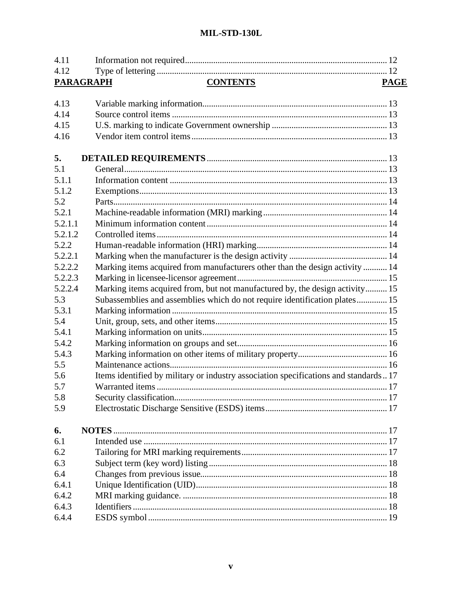| 4.11    |                                                                                      |             |
|---------|--------------------------------------------------------------------------------------|-------------|
| 4.12    |                                                                                      |             |
|         | <b>CONTENTS</b><br><b>PARAGRAPH</b>                                                  | <b>PAGE</b> |
|         |                                                                                      |             |
| 4.13    |                                                                                      |             |
| 4.14    |                                                                                      |             |
| 4.15    |                                                                                      |             |
| 4.16    |                                                                                      |             |
| 5.      |                                                                                      |             |
| 5.1     |                                                                                      |             |
| 5.1.1   |                                                                                      |             |
| 5.1.2   |                                                                                      |             |
| 5.2     |                                                                                      |             |
| 5.2.1   |                                                                                      |             |
| 5.2.1.1 |                                                                                      |             |
| 5.2.1.2 |                                                                                      |             |
| 5.2.2   |                                                                                      |             |
| 5.2.2.1 |                                                                                      |             |
| 5.2.2.2 | Marking items acquired from manufacturers other than the design activity  14         |             |
| 5.2.2.3 |                                                                                      |             |
| 5.2.2.4 | Marking items acquired from, but not manufactured by, the design activity 15         |             |
| 5.3     | Subassemblies and assemblies which do not require identification plates 15           |             |
| 5.3.1   |                                                                                      |             |
| 5.4     |                                                                                      |             |
| 5.4.1   |                                                                                      |             |
| 5.4.2   |                                                                                      |             |
| 5.4.3   |                                                                                      |             |
| 5.5     |                                                                                      |             |
| 5.6     | Items identified by military or industry association specifications and standards 17 |             |
| 5.7     |                                                                                      |             |
| 5.8     |                                                                                      |             |
| 5.9     |                                                                                      |             |
| 6.      |                                                                                      |             |
| 6.1     |                                                                                      |             |
| 6.2     |                                                                                      |             |
| 6.3     |                                                                                      |             |
| 6.4     |                                                                                      |             |
| 6.4.1   |                                                                                      |             |
| 6.4.2   |                                                                                      |             |
| 6.4.3   |                                                                                      |             |
| 6.4.4   |                                                                                      |             |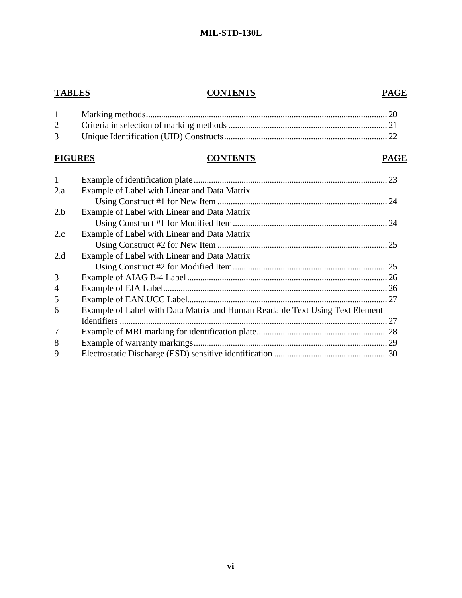# **TABLES CONTENTS PAGE**

# **FIGURES CONTENTS PAGE**

| $\mathbf{1}$   |                                                                              |  |
|----------------|------------------------------------------------------------------------------|--|
| 2.a            | Example of Label with Linear and Data Matrix                                 |  |
|                |                                                                              |  |
| 2.b            | Example of Label with Linear and Data Matrix                                 |  |
|                |                                                                              |  |
| 2.c            | Example of Label with Linear and Data Matrix                                 |  |
|                |                                                                              |  |
| 2.d            | Example of Label with Linear and Data Matrix                                 |  |
|                |                                                                              |  |
| 3              |                                                                              |  |
| $\overline{4}$ |                                                                              |  |
| 5              |                                                                              |  |
| 6              | Example of Label with Data Matrix and Human Readable Text Using Text Element |  |
|                |                                                                              |  |
| 7              |                                                                              |  |
| 8              |                                                                              |  |
| 9              |                                                                              |  |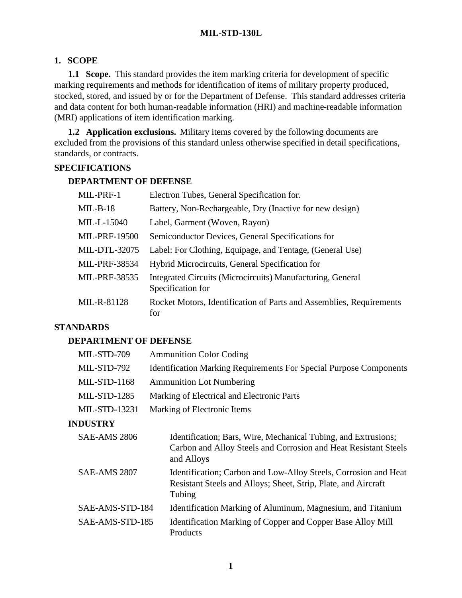# **1. SCOPE**

**1.1 Scope.** This standard provides the item marking criteria for development of specific marking requirements and methods for identification of items of military property produced, stocked, stored, and issued by or for the Department of Defense. This standard addresses criteria and data content for both human-readable information (HRI) and machine-readable information (MRI) applications of item identification marking.

**1.2 Application exclusions.** Military items covered by the following documents are excluded from the provisions of this standard unless otherwise specified in detail specifications, standards, or contracts.

# **SPECIFICATIONS**

#### **DEPARTMENT OF DEFENSE**

| MIL-PRF-1            | Electron Tubes, General Specification for.                                      |
|----------------------|---------------------------------------------------------------------------------|
| $MIL-B-18$           | Battery, Non-Rechargeable, Dry (Inactive for new design)                        |
| MIL-L-15040          | Label, Garment (Woven, Rayon)                                                   |
| <b>MIL-PRF-19500</b> | Semiconductor Devices, General Specifications for                               |
| <b>MIL-DTL-32075</b> | Label: For Clothing, Equipage, and Tentage, (General Use)                       |
| <b>MIL-PRF-38534</b> | Hybrid Microcircuits, General Specification for                                 |
| MIL-PRF-38535        | Integrated Circuits (Microcircuits) Manufacturing, General<br>Specification for |
| MIL-R-81128          | Rocket Motors, Identification of Parts and Assemblies, Requirements<br>for      |

# **STANDARDS**

# **DEPARTMENT OF DEFENSE**

| MIL-STD-709          | <b>Ammunition Color Coding</b>                                                                                                                  |
|----------------------|-------------------------------------------------------------------------------------------------------------------------------------------------|
| MIL-STD-792          | <b>Identification Marking Requirements For Special Purpose Components</b>                                                                       |
| $MIL-STD-1168$       | <b>Ammunition Lot Numbering</b>                                                                                                                 |
| <b>MIL-STD-1285</b>  | Marking of Electrical and Electronic Parts                                                                                                      |
| <b>MIL-STD-13231</b> | Marking of Electronic Items                                                                                                                     |
| <b>INDUSTRY</b>      |                                                                                                                                                 |
| <b>SAE-AMS 2806</b>  | Identification; Bars, Wire, Mechanical Tubing, and Extrusions;<br>Carbon and Alloy Steels and Corrosion and Heat Resistant Steels<br>and Alloys |
| <b>SAE-AMS 2807</b>  | Identification; Carbon and Low-Alloy Steels, Corrosion and Heat<br>Resistant Steels and Alloys; Sheet, Strip, Plate, and Aircraft<br>Tubing     |
| SAE-AMS-STD-184      | Identification Marking of Aluminum, Magnesium, and Titanium                                                                                     |
| SAE-AMS-STD-185      | Identification Marking of Copper and Copper Base Alloy Mill<br>Products                                                                         |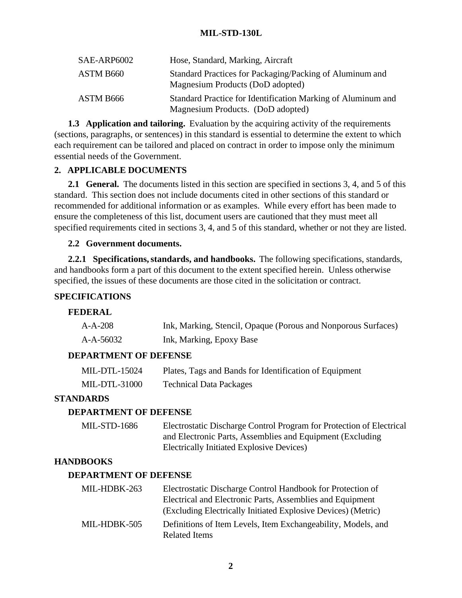| SAE-ARP6002 | Hose, Standard, Marking, Aircraft                                                                 |
|-------------|---------------------------------------------------------------------------------------------------|
| ASTM B660   | Standard Practices for Packaging/Packing of Aluminum and<br>Magnesium Products (DoD adopted)      |
| ASTM B666   | Standard Practice for Identification Marking of Aluminum and<br>Magnesium Products. (DoD adopted) |

**1.3 Application and tailoring.** Evaluation by the acquiring activity of the requirements (sections, paragraphs, or sentences) in this standard is essential to determine the extent to which each requirement can be tailored and placed on contract in order to impose only the minimum essential needs of the Government.

# **2. APPLICABLE DOCUMENTS**

**2.1 General.** The documents listed in this section are specified in sections 3, 4, and 5 of this standard. This section does not include documents cited in other sections of this standard or recommended for additional information or as examples. While every effort has been made to ensure the completeness of this list, document users are cautioned that they must meet all specified requirements cited in sections 3, 4, and 5 of this standard, whether or not they are listed.

# **2.2 Government documents.**

**2.2.1 Specifications, standards, and handbooks.** The following specifications, standards, and handbooks form a part of this document to the extent specified herein. Unless otherwise specified, the issues of these documents are those cited in the solicitation or contract.

# **SPECIFICATIONS**

# **FEDERAL**

| A-A-208   | Ink, Marking, Stencil, Opaque (Porous and Nonporous Surfaces) |
|-----------|---------------------------------------------------------------|
| A-A-56032 | Ink, Marking, Epoxy Base                                      |

# **DEPARTMENT OF DEFENSE**

| MIL-DTL-15024        | Plates, Tags and Bands for Identification of Equipment |
|----------------------|--------------------------------------------------------|
| <b>MIL-DTL-31000</b> | <b>Technical Data Packages</b>                         |

# **STANDARDS**

# **DEPARTMENT OF DEFENSE**

| <b>MIL-STD-1686</b> | Electrostatic Discharge Control Program for Protection of Electrical |
|---------------------|----------------------------------------------------------------------|
|                     | and Electronic Parts, Assemblies and Equipment (Excluding)           |
|                     | Electrically Initiated Explosive Devices)                            |

# **HANDBOOKS**

# **DEPARTMENT OF DEFENSE**

| MIL-HDBK-263 | Electrostatic Discharge Control Handbook for Protection of    |
|--------------|---------------------------------------------------------------|
|              | Electrical and Electronic Parts, Assemblies and Equipment     |
|              | (Excluding Electrically Initiated Explosive Devices) (Metric) |
| MIL-HDBK-505 | Definitions of Item Levels, Item Exchangeability, Models, and |
|              | <b>Related Items</b>                                          |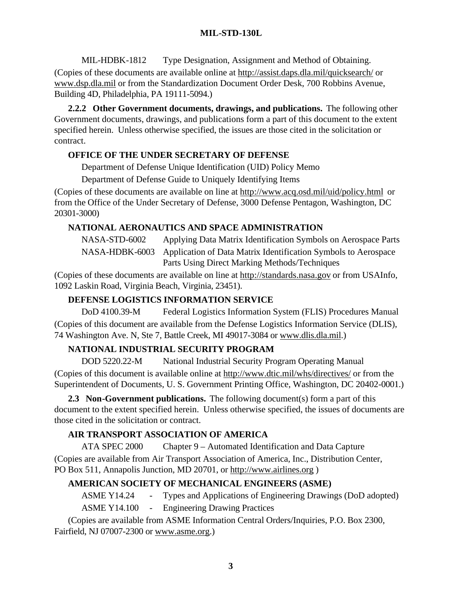MIL-HDBK-1812 Type Designation, Assignment and Method of Obtaining.

(Copies of these documents are available online at http://assist.daps.dla.mil/quicksearch/ or www.dsp.dla.mil or from the Standardization Document Order Desk, 700 Robbins Avenue, Building 4D, Philadelphia, PA 19111-5094.)

**2.2.2 Other Government documents, drawings, and publications.** The following other Government documents, drawings, and publications form a part of this document to the extent specified herein. Unless otherwise specified, the issues are those cited in the solicitation or contract.

# **OFFICE OF THE UNDER SECRETARY OF DEFENSE**

Department of Defense Unique Identification (UID) Policy Memo

Department of Defense Guide to Uniquely Identifying Items

(Copies of these documents are available on line at http://www.acq.osd.mil/uid/policy.html or from the Office of the Under Secretary of Defense, 3000 Defense Pentagon, Washington, DC 20301-3000)

# **NATIONAL AERONAUTICS AND SPACE ADMINISTRATION**

NASA-STD-6002 Applying Data Matrix Identification Symbols on Aerospace Parts NASA-HDBK-6003 Application of Data Matrix Identification Symbols to Aerospace Parts Using Direct Marking Methods/Techniques

(Copies of these documents are available on line at http://standards.nasa.gov or from USAInfo, 1092 Laskin Road, Virginia Beach, Virginia, 23451).

# **DEFENSE LOGISTICS INFORMATION SERVICE**

DoD 4100.39-M Federal Logistics Information System (FLIS) Procedures Manual (Copies of this document are available from the Defense Logistics Information Service (DLIS), 74 Washington Ave. N, Ste 7, Battle Creek, MI 49017-3084 or www.dlis.dla.mil.)

# **NATIONAL INDUSTRIAL SECURITY PROGRAM**

DOD 5220.22-M National Industrial Security Program Operating Manual (Copies of this document is available online at http://www.dtic.mil/whs/directives/ or from the Superintendent of Documents, U. S. Government Printing Office, Washington, DC 20402-0001.)

**2.3 Non-Government publications.** The following document(s) form a part of this document to the extent specified herein. Unless otherwise specified, the issues of documents are those cited in the solicitation or contract.

# **AIR TRANSPORT ASSOCIATION OF AMERICA**

ATA SPEC 2000 Chapter 9 – Automated Identification and Data Capture (Copies are available from Air Transport Association of America, Inc., Distribution Center, PO Box 511, Annapolis Junction, MD 20701, or http://www.airlines.org )

# **AMERICAN SOCIETY OF MECHANICAL ENGINEERS (ASME)**

ASME Y14.24 - Types and Applications of Engineering Drawings (DoD adopted)

ASME Y14.100 - Engineering Drawing Practices

(Copies are available from ASME Information Central Orders/Inquiries, P.O. Box 2300, Fairfield, NJ 07007-2300 or www.asme.org.)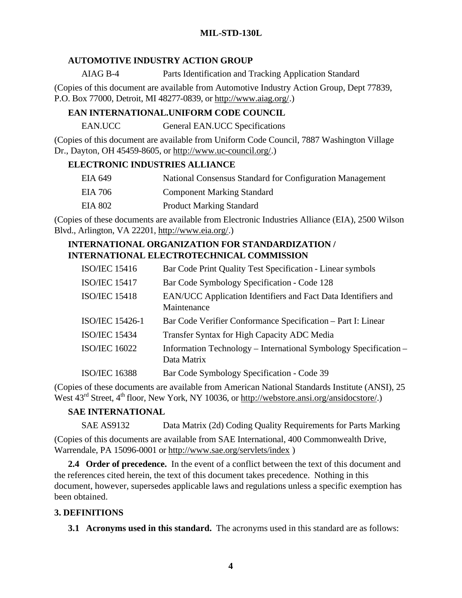# **AUTOMOTIVE INDUSTRY ACTION GROUP**

AIAG B-4 Parts Identification and Tracking Application Standard

(Copies of this document are available from Automotive Industry Action Group, Dept 77839, P.O. Box 77000, Detroit, MI 48277-0839, or http://www.aiag.org/.)

# **EAN INTERNATIONAL.UNIFORM CODE COUNCIL**

EAN.UCC General EAN.UCC Specifications

(Copies of this document are available from Uniform Code Council, 7887 Washington Village Dr., Dayton, OH 45459-8605, or http://www.uc-council.org/.)

# **ELECTRONIC INDUSTRIES ALLIANCE**

| EIA 649 | National Consensus Standard for Configuration Management |
|---------|----------------------------------------------------------|
| EIA 706 | <b>Component Marking Standard</b>                        |
| EIA 802 | <b>Product Marking Standard</b>                          |

(Copies of these documents are available from Electronic Industries Alliance (EIA), 2500 Wilson Blvd., Arlington, VA 22201, http://www.eia.org/.)

# **INTERNATIONAL ORGANIZATION FOR STANDARDIZATION / INTERNATIONAL ELECTROTECHNICAL COMMISSION**

| <b>ISO/IEC 15416</b>   | Bar Code Print Quality Test Specification - Linear symbols                      |
|------------------------|---------------------------------------------------------------------------------|
| <b>ISO/IEC 15417</b>   | Bar Code Symbology Specification - Code 128                                     |
| <b>ISO/IEC 15418</b>   | EAN/UCC Application Identifiers and Fact Data Identifiers and<br>Maintenance    |
| <b>ISO/IEC 15426-1</b> | Bar Code Verifier Conformance Specification - Part I: Linear                    |
| <b>ISO/IEC 15434</b>   | Transfer Syntax for High Capacity ADC Media                                     |
| <b>ISO/IEC 16022</b>   | Information Technology – International Symbology Specification –<br>Data Matrix |
| <b>ISO/IEC 16388</b>   | Bar Code Symbology Specification - Code 39                                      |

(Copies of these documents are available from American National Standards Institute (ANSI), 25 West  $43<sup>rd</sup>$  Street,  $4<sup>th</sup>$  floor, New York, NY 10036, or http://webstore.ansi.org/ansidocstore/.)

# **SAE INTERNATIONAL**

SAE AS9132 Data Matrix (2d) Coding Quality Requirements for Parts Marking

(Copies of this documents are available from SAE International, 400 Commonwealth Drive, Warrendale, PA 15096-0001 or http://www.sae.org/servlets/index )

**2.4 Order of precedence.** In the event of a conflict between the text of this document and the references cited herein, the text of this document takes precedence. Nothing in this document, however, supersedes applicable laws and regulations unless a specific exemption has been obtained.

# **3. DEFINITIONS**

**3.1 Acronyms used in this standard.** The acronyms used in this standard are as follows: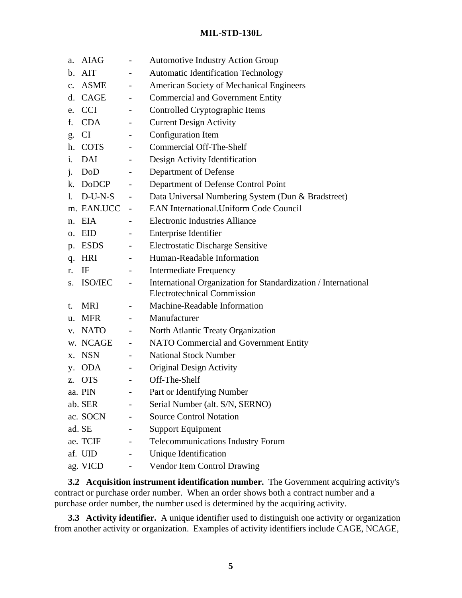| a.             | <b>AIAG</b> | $\qquad \qquad -$            | <b>Automotive Industry Action Group</b>                                                              |
|----------------|-------------|------------------------------|------------------------------------------------------------------------------------------------------|
| $\mathbf{b}$ . | <b>AIT</b>  |                              | <b>Automatic Identification Technology</b>                                                           |
| $\mathbf{c}$ . | ASME        |                              | American Society of Mechanical Engineers                                                             |
|                | d. CAGE     | $\overline{\phantom{a}}$     | <b>Commercial and Government Entity</b>                                                              |
| e.             | <b>CCI</b>  | $\overline{\phantom{a}}$     | Controlled Cryptographic Items                                                                       |
| f.             | CDA         | $\overline{\phantom{a}}$     | <b>Current Design Activity</b>                                                                       |
| g.             | CI          |                              | Configuration Item                                                                                   |
| h.             | <b>COTS</b> | $\overline{\phantom{a}}$     | <b>Commercial Off-The-Shelf</b>                                                                      |
| 1.             | DAI         |                              | Design Activity Identification                                                                       |
| j.             | DoD         |                              | Department of Defense                                                                                |
|                | k. DoDCP    | $\overline{\phantom{a}}$     | Department of Defense Control Point                                                                  |
| 1.             | $D-U-N-S$   | $\overline{\phantom{a}}$     | Data Universal Numbering System (Dun & Bradstreet)                                                   |
|                | m. EAN.UCC  |                              | <b>EAN International. Uniform Code Council</b>                                                       |
|                | n. EIA      |                              | <b>Electronic Industries Alliance</b>                                                                |
|                | o. EID      | $\overline{\phantom{a}}$     | <b>Enterprise Identifier</b>                                                                         |
| p.             | <b>ESDS</b> | $\qquad \qquad -$            | <b>Electrostatic Discharge Sensitive</b>                                                             |
|                | q. HRI      |                              | Human-Readable Information                                                                           |
| r.             | IF          |                              | <b>Intermediate Frequency</b>                                                                        |
|                | s. ISO/IEC  | $\overline{\phantom{a}}$     | International Organization for Standardization / International<br><b>Electrotechnical Commission</b> |
| t.             | MRI         | $\overline{\phantom{a}}$     | Machine-Readable Information                                                                         |
| u.             | <b>MFR</b>  | $\overline{\phantom{0}}$     | Manufacturer                                                                                         |
|                | v. NATO     | $\overline{\phantom{a}}$     | North Atlantic Treaty Organization                                                                   |
|                | w. NCAGE    | $\overline{\phantom{a}}$     | NATO Commercial and Government Entity                                                                |
| Х.             | <b>NSN</b>  | $\overline{\phantom{a}}$     | <b>National Stock Number</b>                                                                         |
| y.             | <b>ODA</b>  | -                            | <b>Original Design Activity</b>                                                                      |
| Z.             | <b>OTS</b>  | $\overline{\phantom{0}}$     | Off-The-Shelf                                                                                        |
|                | aa. PIN     | $\qquad \qquad \blacksquare$ | Part or Identifying Number                                                                           |
|                | ab. SER     | $\overline{\phantom{a}}$     | Serial Number (alt. S/N, SERNO)                                                                      |
|                | ac. SOCN    | -                            | <b>Source Control Notation</b>                                                                       |
|                | ad. SE      |                              | <b>Support Equipment</b>                                                                             |
|                | ae. TCIF    | $\qquad \qquad -$            | <b>Telecommunications Industry Forum</b>                                                             |
|                | af. UID     | $\overline{\phantom{0}}$     | Unique Identification                                                                                |
|                | ag. VICD    |                              | Vendor Item Control Drawing                                                                          |

**3.2 Acquisition instrument identification number.** The Government acquiring activity's contract or purchase order number. When an order shows both a contract number and a purchase order number, the number used is determined by the acquiring activity.

**3.3 Activity identifier.** A unique identifier used to distinguish one activity or organization from another activity or organization. Examples of activity identifiers include CAGE, NCAGE,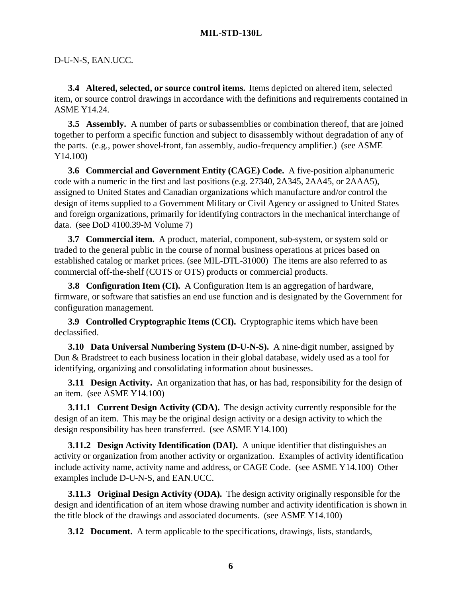#### D-U-N-S, EAN.UCC.

**3.4 Altered, selected, or source control items.** Items depicted on altered item, selected item, or source control drawings in accordance with the definitions and requirements contained in ASME Y14.24.

**3.5 Assembly.** A number of parts or subassemblies or combination thereof, that are joined together to perform a specific function and subject to disassembly without degradation of any of the parts. (e.g., power shovel-front, fan assembly, audio-frequency amplifier.) (see ASME Y14.100)

**3.6 Commercial and Government Entity (CAGE) Code.** A five-position alphanumeric code with a numeric in the first and last positions (e.g. 27340, 2A345, 2AA45, or 2AAA5), assigned to United States and Canadian organizations which manufacture and/or control the design of items supplied to a Government Military or Civil Agency or assigned to United States and foreign organizations, primarily for identifying contractors in the mechanical interchange of data. (see DoD 4100.39-M Volume 7)

**3.7 Commercial item.** A product, material, component, sub-system, or system sold or traded to the general public in the course of normal business operations at prices based on established catalog or market prices. (see MIL-DTL-31000) The items are also referred to as commercial off-the-shelf (COTS or OTS) products or commercial products.

**3.8 Configuration Item (CI).** A Configuration Item is an aggregation of hardware, firmware, or software that satisfies an end use function and is designated by the Government for configuration management.

**3.9 Controlled Cryptographic Items (CCI).** Cryptographic items which have been declassified.

**3.10 Data Universal Numbering System (D-U-N-S).** A nine-digit number, assigned by Dun & Bradstreet to each business location in their global database, widely used as a tool for identifying, organizing and consolidating information about businesses.

**3.11 Design Activity.** An organization that has, or has had, responsibility for the design of an item. (see ASME Y14.100)

**3.11.1 Current Design Activity (CDA).** The design activity currently responsible for the design of an item. This may be the original design activity or a design activity to which the design responsibility has been transferred. (see ASME Y14.100)

**3.11.2 Design Activity Identification (DAI).** A unique identifier that distinguishes an activity or organization from another activity or organization. Examples of activity identification include activity name, activity name and address, or CAGE Code. (see ASME Y14.100) Other examples include D-U-N-S, and EAN.UCC.

**3.11.3 Original Design Activity (ODA).** The design activity originally responsible for the design and identification of an item whose drawing number and activity identification is shown in the title block of the drawings and associated documents. (see ASME Y14.100)

**3.12 Document.** A term applicable to the specifications, drawings, lists, standards,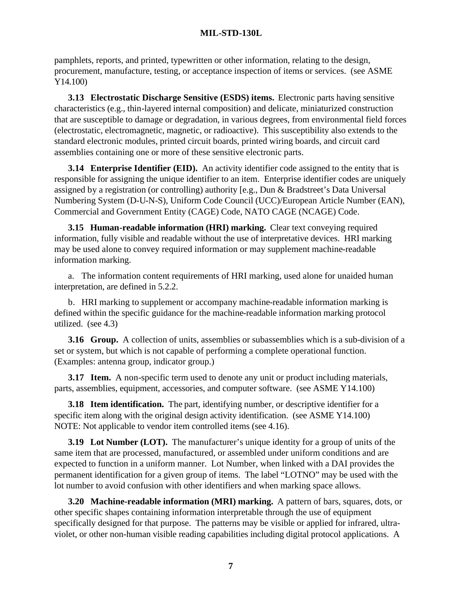pamphlets, reports, and printed, typewritten or other information, relating to the design, procurement, manufacture, testing, or acceptance inspection of items or services. (see ASME Y14.100)

**3.13 Electrostatic Discharge Sensitive (ESDS) items.** Electronic parts having sensitive characteristics (e.g., thin-layered internal composition) and delicate, miniaturized construction that are susceptible to damage or degradation, in various degrees, from environmental field forces (electrostatic, electromagnetic, magnetic, or radioactive). This susceptibility also extends to the standard electronic modules, printed circuit boards, printed wiring boards, and circuit card assemblies containing one or more of these sensitive electronic parts.

**3.14 Enterprise Identifier (EID).** An activity identifier code assigned to the entity that is responsible for assigning the unique identifier to an item. Enterprise identifier codes are uniquely assigned by a registration (or controlling) authority [e.g., Dun & Bradstreet's Data Universal Numbering System (D-U-N-S), Uniform Code Council (UCC)/European Article Number (EAN), Commercial and Government Entity (CAGE) Code, NATO CAGE (NCAGE) Code.

**3.15 Human-readable information (HRI) marking.** Clear text conveying required information, fully visible and readable without the use of interpretative devices. HRI marking may be used alone to convey required information or may supplement machine-readable information marking.

a. The information content requirements of HRI marking, used alone for unaided human interpretation, are defined in 5.2.2.

b. HRI marking to supplement or accompany machine-readable information marking is defined within the specific guidance for the machine-readable information marking protocol utilized. (see 4.3)

**3.16 Group.** A collection of units, assemblies or subassemblies which is a sub-division of a set or system, but which is not capable of performing a complete operational function. (Examples: antenna group, indicator group.)

**3.17 Item.** A non-specific term used to denote any unit or product including materials, parts, assemblies, equipment, accessories, and computer software. (see ASME Y14.100)

**3.18 Item identification.** The part, identifying number, or descriptive identifier for a specific item along with the original design activity identification. (see ASME Y14.100) NOTE: Not applicable to vendor item controlled items (see 4.16).

**3.19 Lot Number (LOT).** The manufacturer's unique identity for a group of units of the same item that are processed, manufactured, or assembled under uniform conditions and are expected to function in a uniform manner. Lot Number, when linked with a DAI provides the permanent identification for a given group of items. The label "LOTNO" may be used with the lot number to avoid confusion with other identifiers and when marking space allows.

**3.20 Machine-readable information (MRI) marking.** A pattern of bars, squares, dots, or other specific shapes containing information interpretable through the use of equipment specifically designed for that purpose. The patterns may be visible or applied for infrared, ultraviolet, or other non-human visible reading capabilities including digital protocol applications. A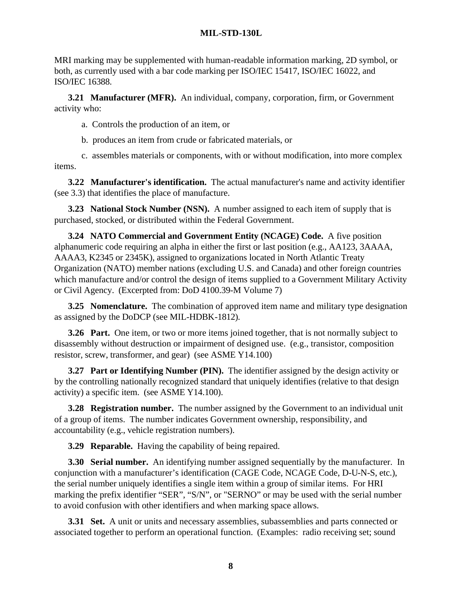MRI marking may be supplemented with human-readable information marking, 2D symbol, or both, as currently used with a bar code marking per ISO/IEC 15417, ISO/IEC 16022, and ISO/IEC 16388.

**3.21 Manufacturer (MFR).** An individual, company, corporation, firm, or Government activity who:

a. Controls the production of an item, or

b. produces an item from crude or fabricated materials, or

c. assembles materials or components, with or without modification, into more complex items.

**3.22 Manufacturer's identification.** The actual manufacturer's name and activity identifier (see 3.3) that identifies the place of manufacture.

**3.23 National Stock Number (NSN).** A number assigned to each item of supply that is purchased, stocked, or distributed within the Federal Government.

**3.24 NATO Commercial and Government Entity (NCAGE) Code.** A five position alphanumeric code requiring an alpha in either the first or last position (e.g., AA123, 3AAAA, AAAA3, K2345 or 2345K), assigned to organizations located in North Atlantic Treaty Organization (NATO) member nations (excluding U.S. and Canada) and other foreign countries which manufacture and/or control the design of items supplied to a Government Military Activity or Civil Agency. (Excerpted from: DoD 4100.39-M Volume 7)

**3.25 Nomenclature.** The combination of approved item name and military type designation as assigned by the DoDCP (see MIL-HDBK-1812).

**3.26 Part.** One item, or two or more items joined together, that is not normally subject to disassembly without destruction or impairment of designed use. (e.g., transistor, composition resistor, screw, transformer, and gear) (see ASME Y14.100)

**3.27 Part or Identifying Number (PIN).** The identifier assigned by the design activity or by the controlling nationally recognized standard that uniquely identifies (relative to that design activity) a specific item. (see ASME Y14.100).

**3.28 Registration number.** The number assigned by the Government to an individual unit of a group of items. The number indicates Government ownership, responsibility, and accountability (e.g., vehicle registration numbers).

**3.29 Reparable.** Having the capability of being repaired.

**3.30 Serial number.** An identifying number assigned sequentially by the manufacturer. In conjunction with a manufacturer's identification (CAGE Code, NCAGE Code, D-U-N-S, etc.), the serial number uniquely identifies a single item within a group of similar items. For HRI marking the prefix identifier "SER", "S/N", or "SERNO" or may be used with the serial number to avoid confusion with other identifiers and when marking space allows.

**3.31 Set.** A unit or units and necessary assemblies, subassemblies and parts connected or associated together to perform an operational function. (Examples: radio receiving set; sound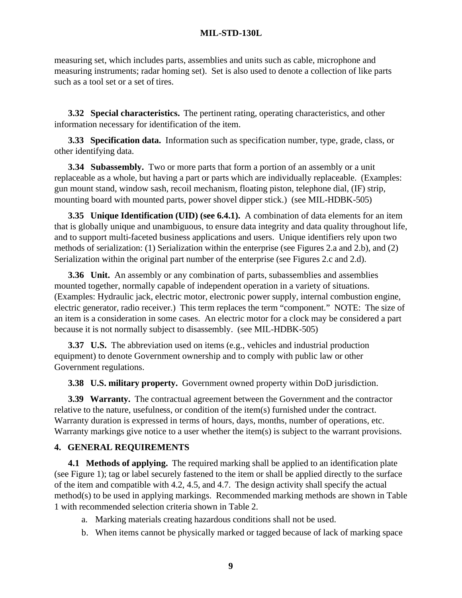measuring set, which includes parts, assemblies and units such as cable, microphone and measuring instruments; radar homing set). Set is also used to denote a collection of like parts such as a tool set or a set of tires.

**3.32 Special characteristics.** The pertinent rating, operating characteristics, and other information necessary for identification of the item.

**3.33 Specification data.** Information such as specification number, type, grade, class, or other identifying data.

**3.34 Subassembly.** Two or more parts that form a portion of an assembly or a unit replaceable as a whole, but having a part or parts which are individually replaceable. (Examples: gun mount stand, window sash, recoil mechanism, floating piston, telephone dial, (IF) strip, mounting board with mounted parts, power shovel dipper stick.) (see MIL-HDBK-505)

**3.35 Unique Identification (UID) (see 6.4.1).** A combination of data elements for an item that is globally unique and unambiguous, to ensure data integrity and data quality throughout life, and to support multi-faceted business applications and users. Unique identifiers rely upon two methods of serialization: (1) Serialization within the enterprise (see Figures 2.a and 2.b), and (2) Serialization within the original part number of the enterprise (see Figures 2.c and 2.d).

**3.36 Unit.** An assembly or any combination of parts, subassemblies and assemblies mounted together, normally capable of independent operation in a variety of situations. (Examples: Hydraulic jack, electric motor, electronic power supply, internal combustion engine, electric generator, radio receiver.) This term replaces the term "component." NOTE: The size of an item is a consideration in some cases. An electric motor for a clock may be considered a part because it is not normally subject to disassembly. (see MIL-HDBK-505)

**3.37 U.S.** The abbreviation used on items (e.g., vehicles and industrial production equipment) to denote Government ownership and to comply with public law or other Government regulations.

**3.38 U.S. military property.** Government owned property within DoD jurisdiction.

**3.39 Warranty.** The contractual agreement between the Government and the contractor relative to the nature, usefulness, or condition of the item(s) furnished under the contract. Warranty duration is expressed in terms of hours, days, months, number of operations, etc. Warranty markings give notice to a user whether the item(s) is subject to the warrant provisions.

# **4. GENERAL REQUIREMENTS**

**4.1 Methods of applying.** The required marking shall be applied to an identification plate (see Figure 1); tag or label securely fastened to the item or shall be applied directly to the surface of the item and compatible with 4.2, 4.5, and 4.7. The design activity shall specify the actual method(s) to be used in applying markings. Recommended marking methods are shown in Table 1 with recommended selection criteria shown in Table 2.

- a. Marking materials creating hazardous conditions shall not be used.
- b. When items cannot be physically marked or tagged because of lack of marking space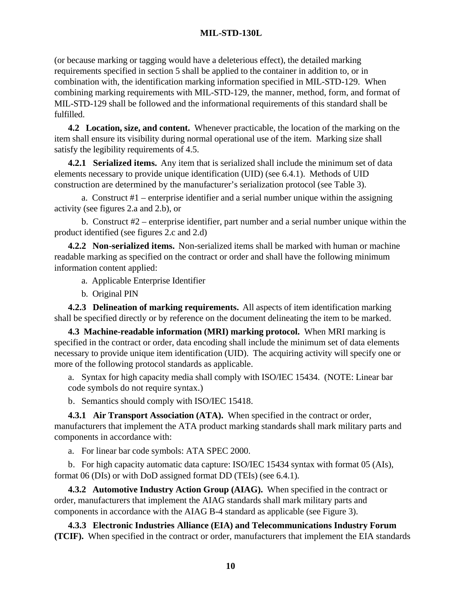(or because marking or tagging would have a deleterious effect), the detailed marking requirements specified in section 5 shall be applied to the container in addition to, or in combination with, the identification marking information specified in MIL-STD-129. When combining marking requirements with MIL-STD-129, the manner, method, form, and format of MIL-STD-129 shall be followed and the informational requirements of this standard shall be fulfilled.

**4.2 Location, size, and content.** Whenever practicable, the location of the marking on the item shall ensure its visibility during normal operational use of the item. Marking size shall satisfy the legibility requirements of 4.5.

**4.2.1 Serialized items.** Any item that is serialized shall include the minimum set of data elements necessary to provide unique identification (UID) (see 6.4.1). Methods of UID construction are determined by the manufacturer's serialization protocol (see Table 3).

a. Construct #1 – enterprise identifier and a serial number unique within the assigning activity (see figures 2.a and 2.b), or

b. Construct #2 – enterprise identifier, part number and a serial number unique within the product identified (see figures 2.c and 2.d)

**4.2.2 Non-serialized items.** Non-serialized items shall be marked with human or machine readable marking as specified on the contract or order and shall have the following minimum information content applied:

a. Applicable Enterprise Identifier

b. Original PIN

**4.2.3 Delineation of marking requirements.** All aspects of item identification marking shall be specified directly or by reference on the document delineating the item to be marked.

**4.3 Machine-readable information (MRI) marking protocol.** When MRI marking is specified in the contract or order, data encoding shall include the minimum set of data elements necessary to provide unique item identification (UID). The acquiring activity will specify one or more of the following protocol standards as applicable.

a. Syntax for high capacity media shall comply with ISO/IEC 15434. (NOTE: Linear bar code symbols do not require syntax.)

b. Semantics should comply with ISO/IEC 15418.

**4.3.1 Air Transport Association (ATA).** When specified in the contract or order, manufacturers that implement the ATA product marking standards shall mark military parts and components in accordance with:

a. For linear bar code symbols: ATA SPEC 2000.

b. For high capacity automatic data capture: ISO/IEC 15434 syntax with format 05 (AIs), format 06 (DIs) or with DoD assigned format DD (TEIs) (see 6.4.1).

**4.3.2 Automotive Industry Action Group (AIAG).** When specified in the contract or order, manufacturers that implement the AIAG standards shall mark military parts and components in accordance with the AIAG B-4 standard as applicable (see Figure 3).

**4.3.3 Electronic Industries Alliance (EIA) and Telecommunications Industry Forum (TCIF).** When specified in the contract or order, manufacturers that implement the EIA standards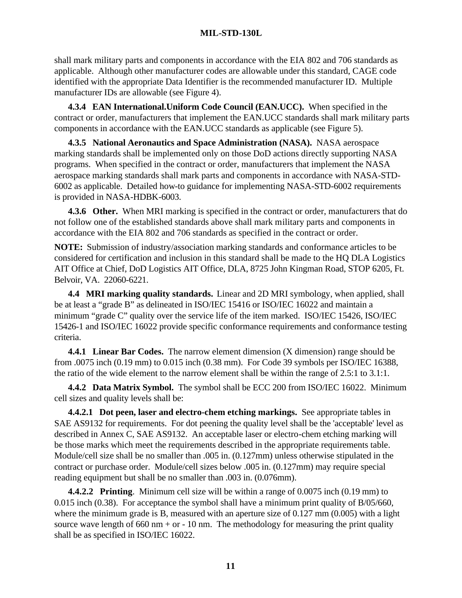shall mark military parts and components in accordance with the EIA 802 and 706 standards as applicable. Although other manufacturer codes are allowable under this standard, CAGE code identified with the appropriate Data Identifier is the recommended manufacturer ID. Multiple manufacturer IDs are allowable (see Figure 4).

**4.3.4 EAN International.Uniform Code Council (EAN.UCC).** When specified in the contract or order, manufacturers that implement the EAN.UCC standards shall mark military parts components in accordance with the EAN.UCC standards as applicable (see Figure 5).

**4.3.5 National Aeronautics and Space Administration (NASA).** NASA aerospace marking standards shall be implemented only on those DoD actions directly supporting NASA programs. When specified in the contract or order, manufacturers that implement the NASA aerospace marking standards shall mark parts and components in accordance with NASA-STD-6002 as applicable. Detailed how-to guidance for implementing NASA-STD-6002 requirements is provided in NASA-HDBK-6003.

**4.3.6 Other.** When MRI marking is specified in the contract or order, manufacturers that do not follow one of the established standards above shall mark military parts and components in accordance with the EIA 802 and 706 standards as specified in the contract or order.

**NOTE:** Submission of industry/association marking standards and conformance articles to be considered for certification and inclusion in this standard shall be made to the HQ DLA Logistics AIT Office at Chief, DoD Logistics AIT Office, DLA, 8725 John Kingman Road, STOP 6205, Ft. Belvoir, VA. 22060-6221.

**4.4 MRI marking quality standards.** Linear and 2D MRI symbology, when applied, shall be at least a "grade B" as delineated in ISO/IEC 15416 or ISO/IEC 16022 and maintain a minimum "grade C" quality over the service life of the item marked. ISO/IEC 15426, ISO/IEC 15426-1 and ISO/IEC 16022 provide specific conformance requirements and conformance testing criteria.

**4.4.1 Linear Bar Codes.** The narrow element dimension (X dimension) range should be from .0075 inch (0.19 mm) to 0.015 inch (0.38 mm). For Code 39 symbols per ISO/IEC 16388, the ratio of the wide element to the narrow element shall be within the range of 2.5:1 to 3.1:1.

**4.4.2 Data Matrix Symbol.** The symbol shall be ECC 200 from ISO/IEC 16022. Minimum cell sizes and quality levels shall be:

**4.4.2.1 Dot peen, laser and electro-chem etching markings.** See appropriate tables in SAE AS9132 for requirements. For dot peening the quality level shall be the 'acceptable' level as described in Annex C, SAE AS9132. An acceptable laser or electro-chem etching marking will be those marks which meet the requirements described in the appropriate requirements table. Module/cell size shall be no smaller than .005 in. (0.127mm) unless otherwise stipulated in the contract or purchase order. Module/cell sizes below .005 in. (0.127mm) may require special reading equipment but shall be no smaller than .003 in. (0.076mm).

**4.4.2.2 Printing**. Minimum cell size will be within a range of 0.0075 inch (0.19 mm) to 0.015 inch (0.38). For acceptance the symbol shall have a minimum print quality of B/05/660, where the minimum grade is B, measured with an aperture size of 0.127 mm (0.005) with a light source wave length of 660 nm + or - 10 nm. The methodology for measuring the print quality shall be as specified in ISO/IEC 16022.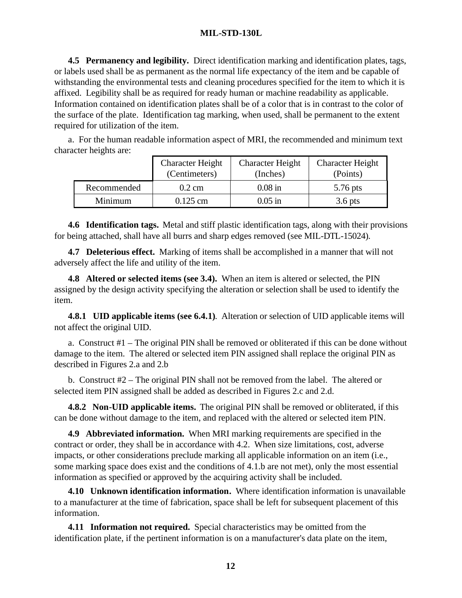**4.5 Permanency and legibility.** Direct identification marking and identification plates, tags, or labels used shall be as permanent as the normal life expectancy of the item and be capable of withstanding the environmental tests and cleaning procedures specified for the item to which it is affixed. Legibility shall be as required for ready human or machine readability as applicable. Information contained on identification plates shall be of a color that is in contrast to the color of the surface of the plate. Identification tag marking, when used, shall be permanent to the extent required for utilization of the item.

a. For the human readable information aspect of MRI, the recommended and minimum text character heights are:

|             | <b>Character Height</b> | <b>Character Height</b> | <b>Character Height</b> |
|-------------|-------------------------|-------------------------|-------------------------|
|             | (Centimeters)           | (Inches)                | (Points)                |
| Recommended | $0.2 \text{ cm}$        | $0.08$ in               | 5.76 pts                |
| Minimum     | $0.125$ cm              | $0.05$ in               | $3.6$ pts               |

**4.6 Identification tags.** Metal and stiff plastic identification tags, along with their provisions for being attached, shall have all burrs and sharp edges removed (see MIL-DTL-15024).

**4.7 Deleterious effect.** Marking of items shall be accomplished in a manner that will not adversely affect the life and utility of the item.

**4.8 Altered or selected items (see 3.4).** When an item is altered or selected, the PIN assigned by the design activity specifying the alteration or selection shall be used to identify the item.

**4.8.1 UID applicable items (see 6.4.1)**. Alteration or selection of UID applicable items will not affect the original UID.

a. Construct #1 – The original PIN shall be removed or obliterated if this can be done without damage to the item. The altered or selected item PIN assigned shall replace the original PIN as described in Figures 2.a and 2.b

b. Construct #2 – The original PIN shall not be removed from the label. The altered or selected item PIN assigned shall be added as described in Figures 2.c and 2.d.

**4.8.2 Non-UID applicable items.** The original PIN shall be removed or obliterated, if this can be done without damage to the item, and replaced with the altered or selected item PIN.

**4.9 Abbreviated information.** When MRI marking requirements are specified in the contract or order, they shall be in accordance with 4.2. When size limitations, cost, adverse impacts, or other considerations preclude marking all applicable information on an item (i.e., some marking space does exist and the conditions of 4.1.b are not met), only the most essential information as specified or approved by the acquiring activity shall be included.

**4.10 Unknown identification information.** Where identification information is unavailable to a manufacturer at the time of fabrication, space shall be left for subsequent placement of this information.

**4.11 Information not required.** Special characteristics may be omitted from the identification plate, if the pertinent information is on a manufacturer's data plate on the item,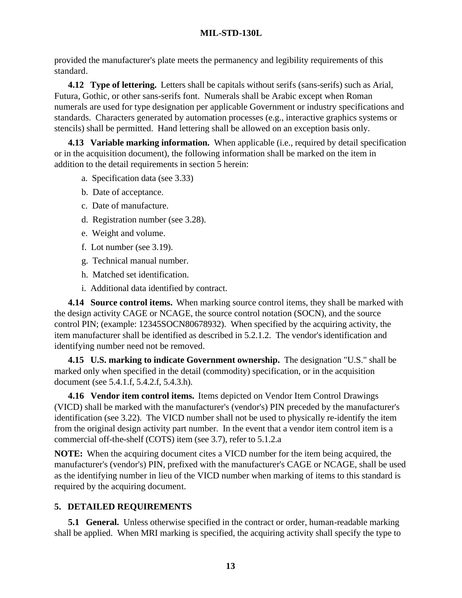provided the manufacturer's plate meets the permanency and legibility requirements of this standard.

**4.12 Type of lettering.** Letters shall be capitals without serifs (sans-serifs) such as Arial, Futura, Gothic, or other sans-serifs font. Numerals shall be Arabic except when Roman numerals are used for type designation per applicable Government or industry specifications and standards. Characters generated by automation processes (e.g., interactive graphics systems or stencils) shall be permitted. Hand lettering shall be allowed on an exception basis only.

**4.13 Variable marking information.** When applicable (i.e., required by detail specification or in the acquisition document), the following information shall be marked on the item in addition to the detail requirements in section 5 herein:

- a. Specification data (see 3.33)
- b. Date of acceptance.
- c. Date of manufacture.
- d. Registration number (see 3.28).
- e. Weight and volume.
- f. Lot number (see 3.19).
- g. Technical manual number.
- h. Matched set identification.
- i. Additional data identified by contract.

**4.14 Source control items.** When marking source control items, they shall be marked with the design activity CAGE or NCAGE, the source control notation (SOCN), and the source control PIN; (example: 12345SOCN80678932). When specified by the acquiring activity, the item manufacturer shall be identified as described in 5.2.1.2. The vendor's identification and identifying number need not be removed.

**4.15 U.S. marking to indicate Government ownership.** The designation "U.S." shall be marked only when specified in the detail (commodity) specification, or in the acquisition document (see 5.4.1.f, 5.4.2.f, 5.4.3.h).

**4.16 Vendor item control items.** Items depicted on Vendor Item Control Drawings (VICD) shall be marked with the manufacturer's (vendor's) PIN preceded by the manufacturer's identification (see 3.22). The VICD number shall not be used to physically re-identify the item from the original design activity part number. In the event that a vendor item control item is a commercial off-the-shelf (COTS) item (see 3.7), refer to 5.1.2.a

**NOTE:** When the acquiring document cites a VICD number for the item being acquired, the manufacturer's (vendor's) PIN, prefixed with the manufacturer's CAGE or NCAGE, shall be used as the identifying number in lieu of the VICD number when marking of items to this standard is required by the acquiring document.

# **5. DETAILED REQUIREMENTS**

**5.1 General.** Unless otherwise specified in the contract or order, human-readable marking shall be applied. When MRI marking is specified, the acquiring activity shall specify the type to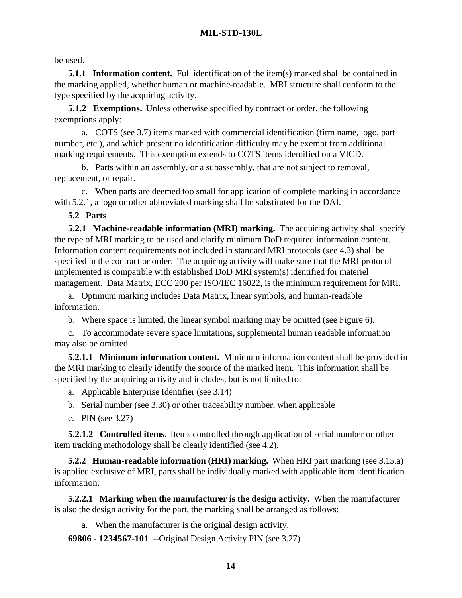be used.

**5.1.1 Information content.** Full identification of the item(s) marked shall be contained in the marking applied, whether human or machine-readable. MRI structure shall conform to the type specified by the acquiring activity.

**5.1.2 Exemptions.** Unless otherwise specified by contract or order, the following exemptions apply:

a. COTS (see 3.7) items marked with commercial identification (firm name, logo, part number, etc.), and which present no identification difficulty may be exempt from additional marking requirements. This exemption extends to COTS items identified on a VICD.

b. Parts within an assembly, or a subassembly, that are not subject to removal, replacement, or repair.

c. When parts are deemed too small for application of complete marking in accordance with 5.2.1, a logo or other abbreviated marking shall be substituted for the DAI.

**5.2 Parts**

**5.2.1 Machine-readable information (MRI) marking.** The acquiring activity shall specify the type of MRI marking to be used and clarify minimum DoD required information content. Information content requirements not included in standard MRI protocols (see 4.3) shall be specified in the contract or order. The acquiring activity will make sure that the MRI protocol implemented is compatible with established DoD MRI system(s) identified for materiel management. Data Matrix, ECC 200 per ISO/IEC 16022, is the minimum requirement for MRI.

a. Optimum marking includes Data Matrix, linear symbols, and human-readable information.

b. Where space is limited, the linear symbol marking may be omitted (see Figure 6).

c. To accommodate severe space limitations, supplemental human readable information may also be omitted.

**5.2.1.1 Minimum information content.** Minimum information content shall be provided in the MRI marking to clearly identify the source of the marked item. This information shall be specified by the acquiring activity and includes, but is not limited to:

a. Applicable Enterprise Identifier (see 3.14)

b. Serial number (see 3.30) or other traceability number, when applicable

c. PIN (see 3.27)

**5.2.1.2 Controlled items.** Items controlled through application of serial number or other item tracking methodology shall be clearly identified (see 4.2).

**5.2.2 Human-readable information (HRI) marking.** When HRI part marking (see 3.15.a) is applied exclusive of MRI, parts shall be individually marked with applicable item identification information.

**5.2.2.1 Marking when the manufacturer is the design activity.** When the manufacturer is also the design activity for the part, the marking shall be arranged as follows:

a. When the manufacturer is the original design activity.

**69806 - 1234567-101** --Original Design Activity PIN (see 3.27)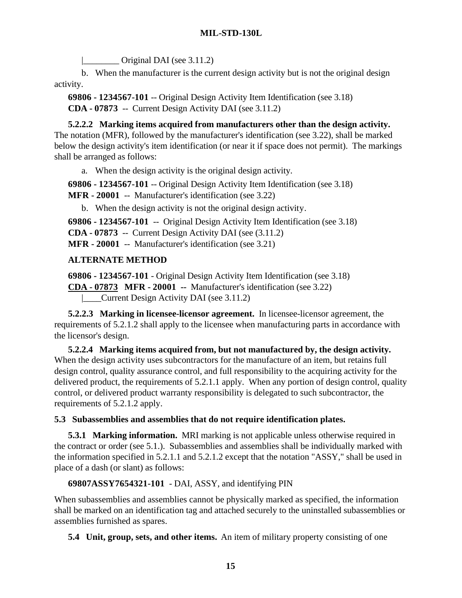$\vert$  Original DAI (see 3.11.2)

b. When the manufacturer is the current design activity but is not the original design activity.

**69806 - 1234567-101** -- Original Design Activity Item Identification (see 3.18) **CDA - 07873** -- Current Design Activity DAI (see 3.11.2)

**5.2.2.2 Marking items acquired from manufacturers other than the design activity.** The notation (MFR), followed by the manufacturer's identification (see 3.22), shall be marked below the design activity's item identification (or near it if space does not permit). The markings shall be arranged as follows:

a. When the design activity is the original design activity.

**69806 - 1234567-101** -- Original Design Activity Item Identification (see 3.18)

**MFR - 20001** -- Manufacturer's identification (see 3.22)

b. When the design activity is not the original design activity.

**69806 - 1234567-101** -- Original Design Activity Item Identification (see 3.18)

**CDA - 07873** -- Current Design Activity DAI (see (3.11.2)

**MFR - 20001** -- Manufacturer's identification (see 3.21)

# **ALTERNATE METHOD**

**69806 - 1234567-101** - Original Design Activity Item Identification (see 3.18) **CDA - 07873 MFR - 20001 --** Manufacturer's identification (see 3.22) |\_\_\_\_Current Design Activity DAI (see 3.11.2)

**5.2.2.3 Marking in licensee-licensor agreement.** In licensee-licensor agreement, the requirements of 5.2.1.2 shall apply to the licensee when manufacturing parts in accordance with the licensor's design.

**5.2.2.4 Marking items acquired from, but not manufactured by, the design activity.** When the design activity uses subcontractors for the manufacture of an item, but retains full design control, quality assurance control, and full responsibility to the acquiring activity for the delivered product, the requirements of 5.2.1.1 apply. When any portion of design control, quality control, or delivered product warranty responsibility is delegated to such subcontractor, the requirements of 5.2.1.2 apply.

# **5.3 Subassemblies and assemblies that do not require identification plates.**

**5.3.1 Marking information.** MRI marking is not applicable unless otherwise required in the contract or order (see 5.1.). Subassemblies and assemblies shall be individually marked with the information specified in 5.2.1.1 and 5.2.1.2 except that the notation "ASSY," shall be used in place of a dash (or slant) as follows:

# **69807ASSY7654321-101** - DAI, ASSY, and identifying PIN

When subassemblies and assemblies cannot be physically marked as specified, the information shall be marked on an identification tag and attached securely to the uninstalled subassemblies or assemblies furnished as spares.

**5.4 Unit, group, sets, and other items.** An item of military property consisting of one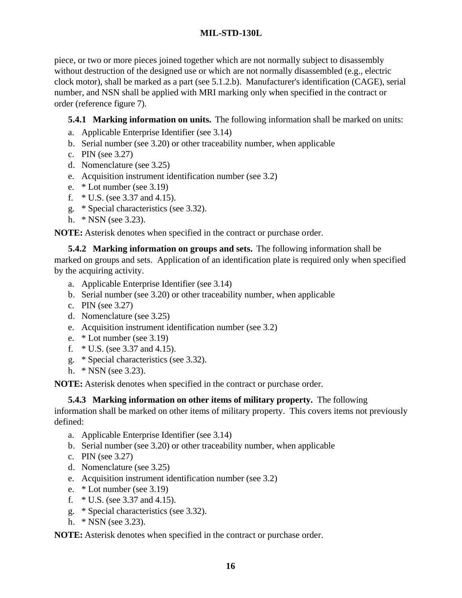piece, or two or more pieces joined together which are not normally subject to disassembly without destruction of the designed use or which are not normally disassembled (e.g., electric clock motor), shall be marked as a part (see 5.1.2.b). Manufacturer's identification (CAGE), serial number, and NSN shall be applied with MRI marking only when specified in the contract or order (reference figure 7).

# **5.4.1 Marking information on units.** The following information shall be marked on units:

- a. Applicable Enterprise Identifier (see 3.14)
- b. Serial number (see 3.20) or other traceability number, when applicable
- c. PIN (see 3.27)
- d. Nomenclature (see 3.25)
- e. Acquisition instrument identification number (see 3.2)
- e. \* Lot number (see 3.19)
- f. \* U.S. (see 3.37 and 4.15).
- g. \* Special characteristics (see 3.32).
- h. \* NSN (see 3.23).

**NOTE:** Asterisk denotes when specified in the contract or purchase order.

**5.4.2 Marking information on groups and sets.** The following information shall be marked on groups and sets. Application of an identification plate is required only when specified by the acquiring activity.

- a. Applicable Enterprise Identifier (see 3.14)
- b. Serial number (see 3.20) or other traceability number, when applicable
- c. PIN (see 3.27)
- d. Nomenclature (see 3.25)
- e. Acquisition instrument identification number (see 3.2)
- e. \* Lot number (see 3.19)
- f. \* U.S. (see 3.37 and 4.15).
- g. \* Special characteristics (see 3.32).
- h. \* NSN (see 3.23).

**NOTE:** Asterisk denotes when specified in the contract or purchase order.

**5.4.3 Marking information on other items of military property.** The following

information shall be marked on other items of military property. This covers items not previously defined:

- a. Applicable Enterprise Identifier (see 3.14)
- b. Serial number (see 3.20) or other traceability number, when applicable
- c. PIN (see 3.27)
- d. Nomenclature (see 3.25)
- e. Acquisition instrument identification number (see 3.2)
- e. \* Lot number (see 3.19)
- f. \* U.S. (see 3.37 and 4.15).
- g. \* Special characteristics (see 3.32).
- h. \* NSN (see 3.23).

**NOTE:** Asterisk denotes when specified in the contract or purchase order.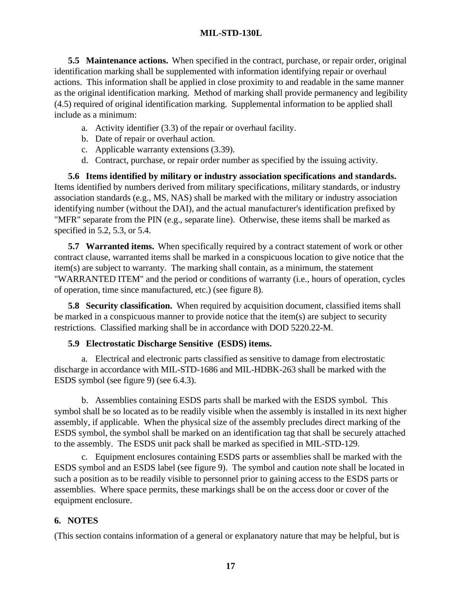**5.5 Maintenance actions.** When specified in the contract, purchase, or repair order, original identification marking shall be supplemented with information identifying repair or overhaul actions. This information shall be applied in close proximity to and readable in the same manner as the original identification marking. Method of marking shall provide permanency and legibility (4.5) required of original identification marking. Supplemental information to be applied shall include as a minimum:

- a. Activity identifier (3.3) of the repair or overhaul facility.
- b. Date of repair or overhaul action.
- c. Applicable warranty extensions (3.39).
- d. Contract, purchase, or repair order number as specified by the issuing activity.

**5.6 Items identified by military or industry association specifications and standards.** Items identified by numbers derived from military specifications, military standards, or industry association standards (e.g., MS, NAS) shall be marked with the military or industry association identifying number (without the DAI), and the actual manufacturer's identification prefixed by "MFR" separate from the PIN (e.g., separate line). Otherwise, these items shall be marked as specified in 5.2, 5.3, or 5.4.

**5.7 Warranted items.** When specifically required by a contract statement of work or other contract clause, warranted items shall be marked in a conspicuous location to give notice that the item(s) are subject to warranty. The marking shall contain, as a minimum, the statement "WARRANTED ITEM" and the period or conditions of warranty (i.e., hours of operation, cycles of operation, time since manufactured, etc.) (see figure 8).

**5.8 Security classification.** When required by acquisition document, classified items shall be marked in a conspicuous manner to provide notice that the item(s) are subject to security restrictions. Classified marking shall be in accordance with DOD 5220.22-M.

#### **5.9 Electrostatic Discharge Sensitive (ESDS) items.**

a. Electrical and electronic parts classified as sensitive to damage from electrostatic discharge in accordance with MIL-STD-1686 and MIL-HDBK-263 shall be marked with the ESDS symbol (see figure 9) (see 6.4.3).

b. Assemblies containing ESDS parts shall be marked with the ESDS symbol. This symbol shall be so located as to be readily visible when the assembly is installed in its next higher assembly, if applicable. When the physical size of the assembly precludes direct marking of the ESDS symbol, the symbol shall be marked on an identification tag that shall be securely attached to the assembly. The ESDS unit pack shall be marked as specified in MIL-STD-129.

c. Equipment enclosures containing ESDS parts or assemblies shall be marked with the ESDS symbol and an ESDS label (see figure 9). The symbol and caution note shall be located in such a position as to be readily visible to personnel prior to gaining access to the ESDS parts or assemblies. Where space permits, these markings shall be on the access door or cover of the equipment enclosure.

# **6. NOTES**

(This section contains information of a general or explanatory nature that may be helpful, but is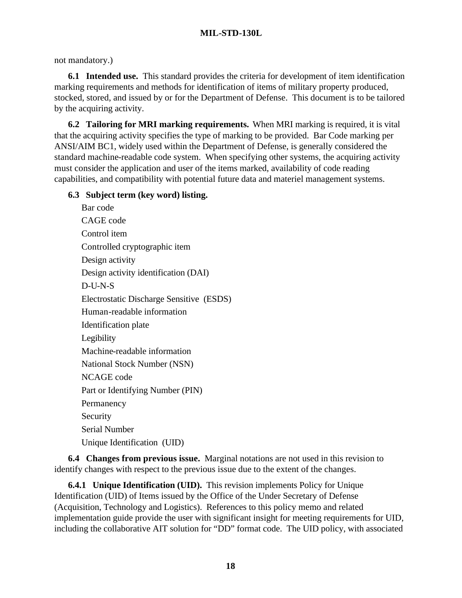# not mandatory.)

**6.1 Intended use.** This standard provides the criteria for development of item identification marking requirements and methods for identification of items of military property produced, stocked, stored, and issued by or for the Department of Defense. This document is to be tailored by the acquiring activity.

**6.2 Tailoring for MRI marking requirements.** When MRI marking is required, it is vital that the acquiring activity specifies the type of marking to be provided. Bar Code marking per ANSI/AIM BC1, widely used within the Department of Defense, is generally considered the standard machine-readable code system. When specifying other systems, the acquiring activity must consider the application and user of the items marked, availability of code reading capabilities, and compatibility with potential future data and materiel management systems.

# **6.3 Subject term (key word) listing.**

Bar code CAGE code Control item Controlled cryptographic item Design activity Design activity identification (DAI) D-U-N-S Electrostatic Discharge Sensitive (ESDS) Human-readable information Identification plate Legibility Machine-readable information National Stock Number (NSN) NCAGE code Part or Identifying Number (PIN) Permanency Security Serial Number Unique Identification (UID)

**6.4 Changes from previous issue.** Marginal notations are not used in this revision to identify changes with respect to the previous issue due to the extent of the changes.

**6.4.1 Unique Identification (UID).** This revision implements Policy for Unique Identification (UID) of Items issued by the Office of the Under Secretary of Defense (Acquisition, Technology and Logistics). References to this policy memo and related implementation guide provide the user with significant insight for meeting requirements for UID, including the collaborative AIT solution for "DD" format code. The UID policy, with associated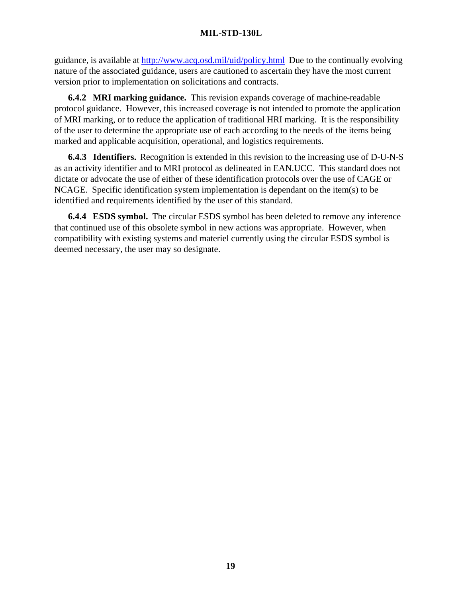guidance, is available at http://www.acq.osd.mil/uid/policy.html Due to the continually evolving nature of the associated guidance, users are cautioned to ascertain they have the most current version prior to implementation on solicitations and contracts.

**6.4.2 MRI marking guidance.** This revision expands coverage of machine-readable protocol guidance. However, this increased coverage is not intended to promote the application of MRI marking, or to reduce the application of traditional HRI marking. It is the responsibility of the user to determine the appropriate use of each according to the needs of the items being marked and applicable acquisition, operational, and logistics requirements.

**6.4.3 Identifiers.** Recognition is extended in this revision to the increasing use of D-U-N-S as an activity identifier and to MRI protocol as delineated in EAN.UCC. This standard does not dictate or advocate the use of either of these identification protocols over the use of CAGE or NCAGE. Specific identification system implementation is dependant on the item(s) to be identified and requirements identified by the user of this standard.

**6.4.4 ESDS symbol.** The circular ESDS symbol has been deleted to remove any inference that continued use of this obsolete symbol in new actions was appropriate. However, when compatibility with existing systems and materiel currently using the circular ESDS symbol is deemed necessary, the user may so designate.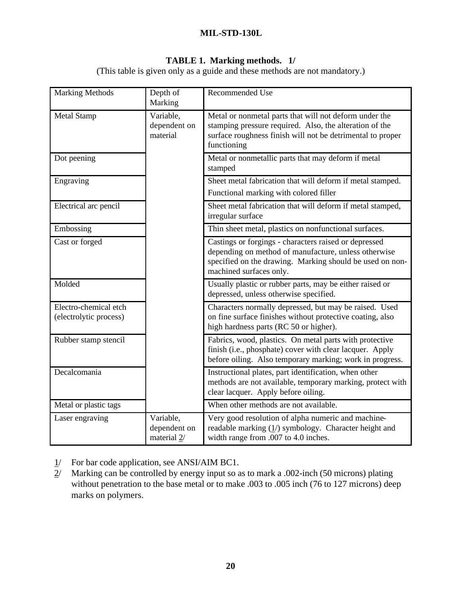# **TABLE 1. Marking methods. 1/**

(This table is given only as a guide and these methods are not mandatory.)

| <b>Marking Methods</b>                          | Depth of<br>Marking                      | Recommended Use                                                                                                                                                                                      |
|-------------------------------------------------|------------------------------------------|------------------------------------------------------------------------------------------------------------------------------------------------------------------------------------------------------|
| <b>Metal Stamp</b>                              | Variable,<br>dependent on<br>material    | Metal or nonmetal parts that will not deform under the<br>stamping pressure required. Also, the alteration of the<br>surface roughness finish will not be detrimental to proper<br>functioning       |
| Dot peening                                     |                                          | Metal or nonmetallic parts that may deform if metal<br>stamped                                                                                                                                       |
| Engraving                                       |                                          | Sheet metal fabrication that will deform if metal stamped.<br>Functional marking with colored filler                                                                                                 |
| Electrical arc pencil                           |                                          | Sheet metal fabrication that will deform if metal stamped,<br>irregular surface                                                                                                                      |
| Embossing                                       |                                          | Thin sheet metal, plastics on nonfunctional surfaces.                                                                                                                                                |
| Cast or forged                                  |                                          | Castings or forgings - characters raised or depressed<br>depending on method of manufacture, unless otherwise<br>specified on the drawing. Marking should be used on non-<br>machined surfaces only. |
| Molded                                          |                                          | Usually plastic or rubber parts, may be either raised or<br>depressed, unless otherwise specified.                                                                                                   |
| Electro-chemical etch<br>(electrolytic process) |                                          | Characters normally depressed, but may be raised. Used<br>on fine surface finishes without protective coating, also<br>high hardness parts (RC 50 or higher).                                        |
| Rubber stamp stencil                            |                                          | Fabrics, wood, plastics. On metal parts with protective<br>finish (i.e., phosphate) cover with clear lacquer. Apply<br>before oiling. Also temporary marking; work in progress.                      |
| Decalcomania                                    |                                          | Instructional plates, part identification, when other<br>methods are not available, temporary marking, protect with<br>clear lacquer. Apply before oiling.                                           |
| Metal or plastic tags                           |                                          | When other methods are not available.                                                                                                                                                                |
| Laser engraving                                 | Variable,<br>dependent on<br>material 2/ | Very good resolution of alpha numeric and machine-<br>readable marking $(1/)$ symbology. Character height and<br>width range from .007 to 4.0 inches.                                                |

- $1/$  For bar code application, see ANSI/AIM BC1.
- $2/$  Marking can be controlled by energy input so as to mark a .002-inch (50 microns) plating without penetration to the base metal or to make .003 to .005 inch (76 to 127 microns) deep marks on polymers.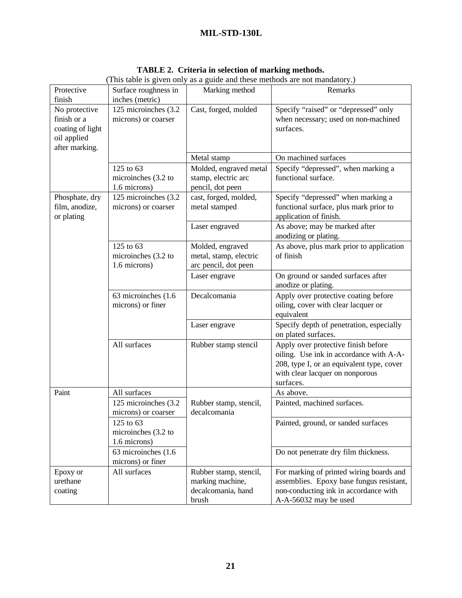| Protective<br>finish                                                              | Surface roughness in<br>inches (metric)          | Marking method                                                            | Remarks                                                                                                                                                                     |
|-----------------------------------------------------------------------------------|--------------------------------------------------|---------------------------------------------------------------------------|-----------------------------------------------------------------------------------------------------------------------------------------------------------------------------|
| No protective<br>finish or a<br>coating of light<br>oil applied<br>after marking. | 125 microinches (3.2<br>microns) or coarser      | Cast, forged, molded                                                      | Specify "raised" or "depressed" only<br>when necessary; used on non-machined<br>surfaces.                                                                                   |
|                                                                                   |                                                  | Metal stamp                                                               | On machined surfaces                                                                                                                                                        |
|                                                                                   | 125 to 63<br>microinches (3.2 to<br>1.6 microns) | Molded, engraved metal<br>stamp, electric arc<br>pencil, dot peen         | Specify "depressed", when marking a<br>functional surface.                                                                                                                  |
| Phosphate, dry<br>film, anodize,<br>or plating                                    | 125 microinches (3.2)<br>microns) or coarser     | cast, forged, molded,<br>metal stamped                                    | Specify "depressed" when marking a<br>functional surface, plus mark prior to<br>application of finish.                                                                      |
|                                                                                   |                                                  | Laser engraved                                                            | As above; may be marked after<br>anodizing or plating.                                                                                                                      |
|                                                                                   | 125 to 63<br>microinches (3.2 to<br>1.6 microns) | Molded, engraved<br>metal, stamp, electric<br>arc pencil, dot peen        | As above, plus mark prior to application<br>of finish                                                                                                                       |
|                                                                                   |                                                  | Laser engrave                                                             | On ground or sanded surfaces after<br>anodize or plating.                                                                                                                   |
|                                                                                   | 63 microinches (1.6<br>microns) or finer         | Decalcomania                                                              | Apply over protective coating before<br>oiling, cover with clear lacquer or<br>equivalent                                                                                   |
|                                                                                   |                                                  | Laser engrave                                                             | Specify depth of penetration, especially<br>on plated surfaces.                                                                                                             |
|                                                                                   | All surfaces                                     | Rubber stamp stencil                                                      | Apply over protective finish before<br>oiling. Use ink in accordance with A-A-<br>208, type I, or an equivalent type, cover<br>with clear lacquer on nonporous<br>surfaces. |
| Paint                                                                             | All surfaces                                     |                                                                           | As above.                                                                                                                                                                   |
|                                                                                   | 125 microinches (3.2<br>microns) or coarser      | Rubber stamp, stencil,<br>decalcomania                                    | Painted, machined surfaces.                                                                                                                                                 |
|                                                                                   | 125 to 63<br>microinches (3.2 to<br>1.6 microns) |                                                                           | Painted, ground, or sanded surfaces                                                                                                                                         |
|                                                                                   | 63 microinches (1.6)<br>microns) or finer        |                                                                           | Do not penetrate dry film thickness.                                                                                                                                        |
| Epoxy or<br>urethane<br>coating                                                   | All surfaces                                     | Rubber stamp, stencil,<br>marking machine,<br>decalcomania, hand<br>brush | For marking of printed wiring boards and<br>assemblies. Epoxy base fungus resistant,<br>non-conducting ink in accordance with<br>A-A-56032 may be used                      |

**TABLE 2. Criteria in selection of marking methods.** (This table is given only as a guide and these methods are not mandatory.)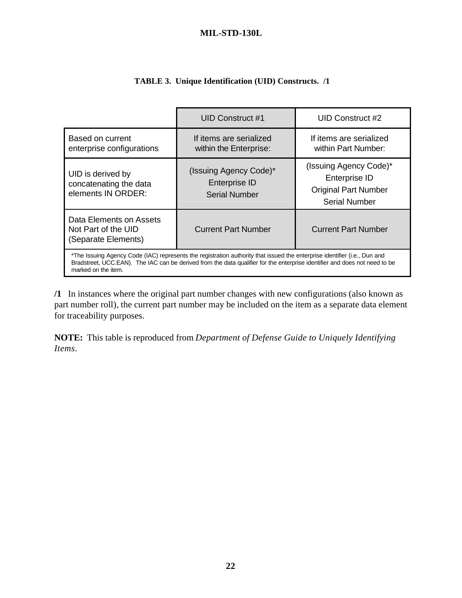| <b>TABLE 3. Unique Identification (UID) Constructs. /1</b> |  |
|------------------------------------------------------------|--|
|                                                            |  |

|                                                                                                                                                                                                                                                                                | UID Construct #1                                                       | UID Construct #2                                                                               |
|--------------------------------------------------------------------------------------------------------------------------------------------------------------------------------------------------------------------------------------------------------------------------------|------------------------------------------------------------------------|------------------------------------------------------------------------------------------------|
| Based on current<br>enterprise configurations                                                                                                                                                                                                                                  | If items are serialized<br>within the Enterprise:                      | If items are serialized<br>within Part Number:                                                 |
| UID is derived by<br>concatenating the data<br>elements IN ORDER:                                                                                                                                                                                                              | (Issuing Agency Code)*<br><b>Enterprise ID</b><br><b>Serial Number</b> | (Issuing Agency Code)*<br>Enterprise ID<br><b>Original Part Number</b><br><b>Serial Number</b> |
| Data Elements on Assets<br>Not Part of the UID<br>(Separate Elements)                                                                                                                                                                                                          | <b>Current Part Number</b>                                             | <b>Current Part Number</b>                                                                     |
| *The Issuing Agency Code (IAC) represents the registration authority that issued the enterprise identifier (i.e., Dun and<br>Bradstreet, UCC.EAN). The IAC can be derived from the data qualifier for the enterprise identifier and does not need to be<br>marked on the item. |                                                                        |                                                                                                |

**/1** In instances where the original part number changes with new configurations (also known as part number roll), the current part number may be included on the item as a separate data element for traceability purposes.

**NOTE:** This table is reproduced from *Department of Defense Guide to Uniquely Identifying Items*.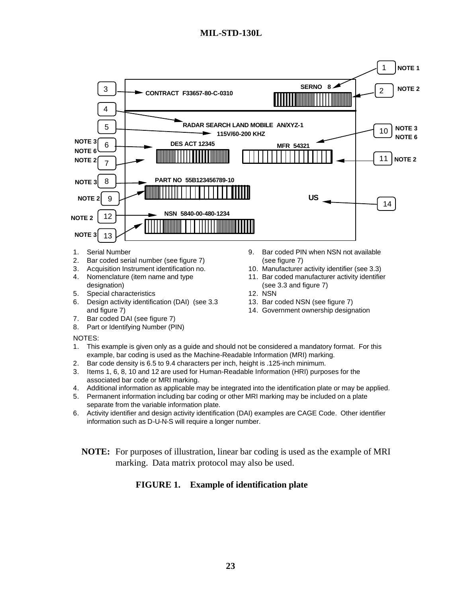

- 3. Acquisition Instrument identification no.
- 4. Nomenclature (item name and type designation)
- 5. Special characteristics
- 6. Design activity identification (DAI) (see 3.3 and figure 7)
- 7. Bar coded DAI (see figure 7)
- 8. Part or Identifying Number (PIN)

#### NOTES:

- 1. This example is given only as a guide and should not be considered a mandatory format. For this example, bar coding is used as the Machine-Readable Information (MRI) marking.
- 2. Bar code density is 6.5 to 9.4 characters per inch, height is .125-inch minimum.
- 3. Items 1, 6, 8, 10 and 12 are used for Human-Readable Information (HRI) purposes for the associated bar code or MRI marking.
- 4. Additional information as applicable may be integrated into the identification plate or may be applied.
- 5. Permanent information including bar coding or other MRI marking may be included on a plate separate from the variable information plate.
- 6. Activity identifier and design activity identification (DAI) examples are CAGE Code. Other identifier information such as D-U-N-S will require a longer number.
	- **NOTE:** For purposes of illustration, linear bar coding is used as the example of MRI marking. Data matrix protocol may also be used.

# **FIGURE 1. Example of identification plate**

14. Government ownership designation

13. Bar coded NSN (see figure 7)

(see 3.3 and figure 7)

12. NSN

10. Manufacturer activity identifier (see 3.3) 11. Bar coded manufacturer activity identifier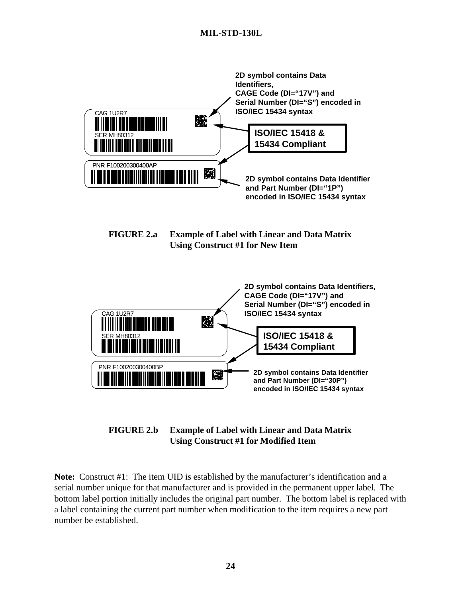

# **FIGURE 2.b Example of Label with Linear and Data Matrix Using Construct #1 for Modified Item**

**Note:** Construct #1: The item UID is established by the manufacturer's identification and a serial number unique for that manufacturer and is provided in the permanent upper label. The bottom label portion initially includes the original part number. The bottom label is replaced with a label containing the current part number when modification to the item requires a new part number be established.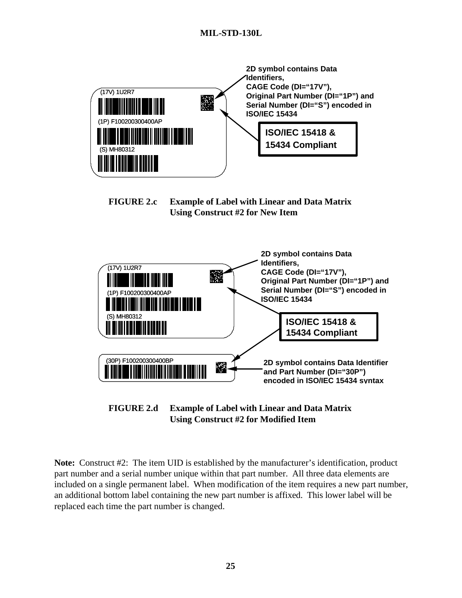







**Note:** Construct #2: The item UID is established by the manufacturer's identification, product part number and a serial number unique within that part number. All three data elements are included on a single permanent label. When modification of the item requires a new part number, an additional bottom label containing the new part number is affixed. This lower label will be replaced each time the part number is changed.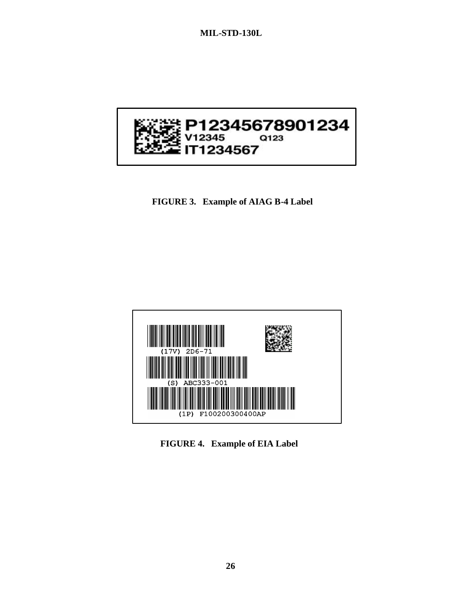

**FIGURE 3. Example of AIAG B-4 Label**



**FIGURE 4. Example of EIA Label**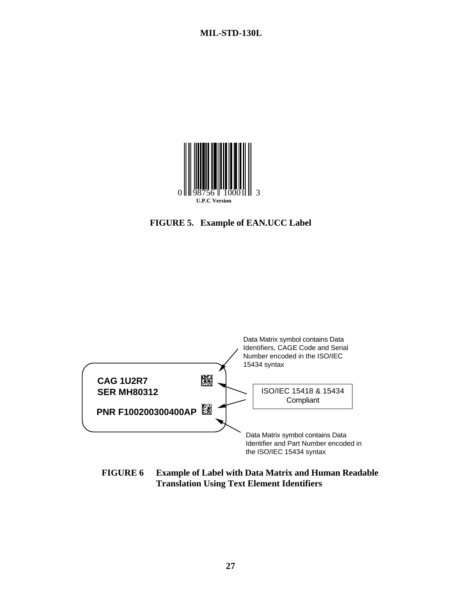





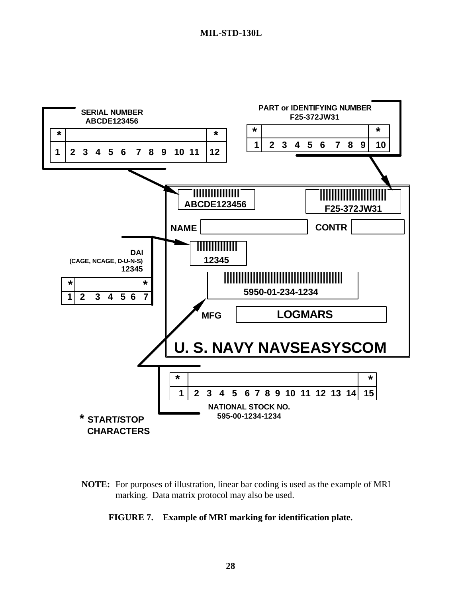

**NOTE:** For purposes of illustration, linear bar coding is used as the example of MRI marking. Data matrix protocol may also be used.

# **FIGURE 7. Example of MRI marking for identification plate.**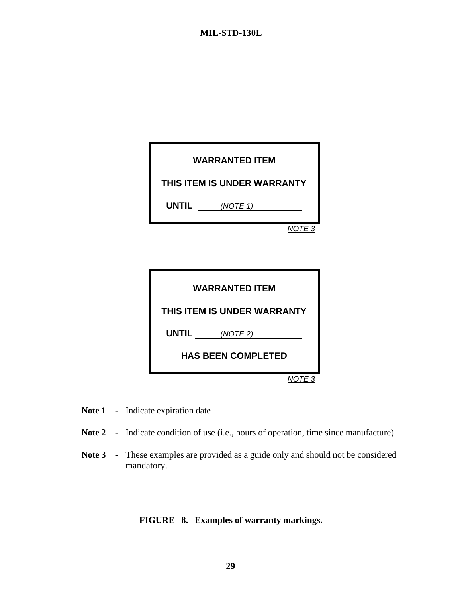|              | <b>WARRANTED ITEM</b>       |
|--------------|-----------------------------|
|              | THIS ITEM IS UNDER WARRANTY |
| <b>UNTIL</b> | (NOTE 1)                    |
|              | NOTE 3                      |

| <b>WARRANTED ITEM</b>       |
|-----------------------------|
| THIS ITEM IS UNDER WARRANTY |
| <b>UNTIL</b><br>(NOTE 2)    |
| <b>HAS BEEN COMPLETED</b>   |
|                             |

- Note 1 Indicate expiration date
- Note 2 Indicate condition of use (i.e., hours of operation, time since manufacture)
- **Note 3** These examples are provided as a guide only and should not be considered mandatory.

# **FIGURE 8. Examples of warranty markings.**